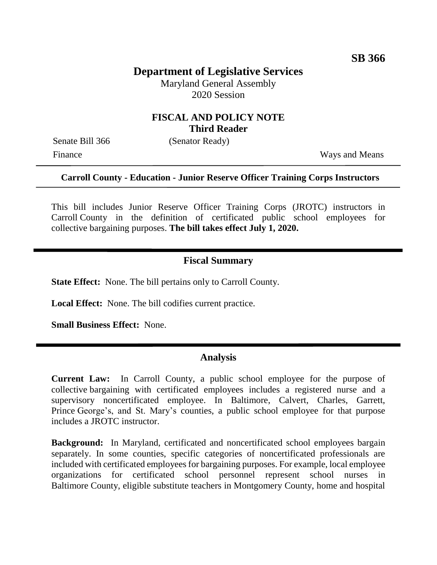# **Department of Legislative Services**

Maryland General Assembly 2020 Session

### **FISCAL AND POLICY NOTE Third Reader**

Senate Bill 366 (Senator Ready)

Finance Ways and Means

#### **Carroll County - Education - Junior Reserve Officer Training Corps Instructors**

This bill includes Junior Reserve Officer Training Corps (JROTC) instructors in Carroll County in the definition of certificated public school employees for collective bargaining purposes. **The bill takes effect July 1, 2020.**

## **Fiscal Summary**

**State Effect:** None. The bill pertains only to Carroll County.

**Local Effect:** None. The bill codifies current practice.

**Small Business Effect:** None.

#### **Analysis**

**Current Law:** In Carroll County, a public school employee for the purpose of collective bargaining with certificated employees includes a registered nurse and a supervisory noncertificated employee. In Baltimore, Calvert, Charles, Garrett, Prince George's, and St. Mary's counties, a public school employee for that purpose includes a JROTC instructor.

**Background:** In Maryland, certificated and noncertificated school employees bargain separately. In some counties, specific categories of noncertificated professionals are included with certificated employees for bargaining purposes. For example, local employee organizations for certificated school personnel represent school nurses in Baltimore County, eligible substitute teachers in Montgomery County, home and hospital